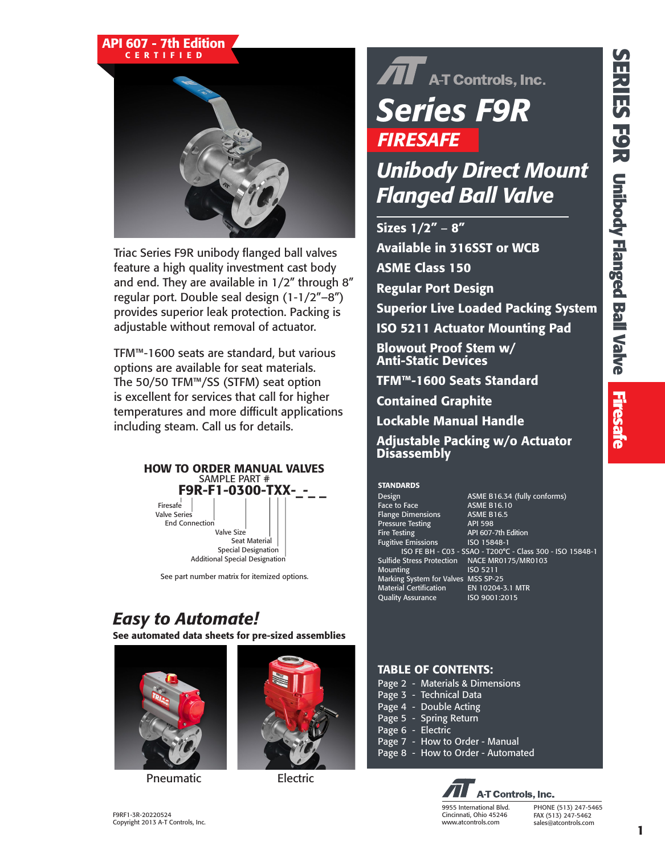### API 607 - 7th Edition CERTIFIED



Triac Series F9R unibody flanged ball valves feature a high quality investment cast body and end. They are available in 1/2" through 8" regular port. Double seal design (1-1/2"–8") provides superior leak protection. Packing is adjustable without removal of actuator.

TFM™-1600 seats are standard, but various options are available for seat materials. The 50/50 TFM™/SS (STFM) seat option is excellent for services that call for higher temperatures and more difficult applications including steam. Call us for details.



See part number matrix for itemized options.

### *Easy to Automate!*

See automated data sheets for pre-sized assemblies



Pneumatic Electric



## $\widehat{\mathbf{A}}$  A-T Controls, Inc. *Series F9R FIRESAFE*

### *Unibody Direct Mount Flanged Ball Valve*

Sizes 1/2" – 8" Available in 316SST or WCB ASME Class 150 Regular Port Design Superior Live Loaded Packing System ISO 5211 Actuator Mounting Pad Blowout Proof Stem w/ Anti-Static Devices TFM™-1600 Seats Standard Contained Graphite

Lockable Manual Handle

Adjustable Packing w/o Actuator **Disassembly** 

#### **STANDARDS**

Face to Face **ASME B16.10** Flange Dimensions ASME B16.5<br>Pressure Testing API 598 Pressure Testing<br>Fire Testing Fugitive Emissions ISO 15848-1 **Mounting** Marking System for Valves MSS SP-25 Material Certification EN 10204-3.1 MTR Quality Assurance ISO 9001:2015

Design **ASME B16.34** (fully conforms) API 607-7th Edition ISO FE BH - C03 - SSAO - T200°C - Class 300 - ISO 15848-1 Sulfide Stress Protection NACE MR0175/MR0103

### TABLE OF CONTENTS:

|  | Page 2 - Materials & Dimensions   |
|--|-----------------------------------|
|  | Page 3 - Technical Data           |
|  | Page 4 - Double Acting            |
|  | Page 5 - Spring Return            |
|  | Page 6 - Electric                 |
|  | Page 7 - How to Order - Manual    |
|  | Page 8 - How to Order - Automated |
|  |                                   |

**A-T Controls, Inc.** 9955 International Blvd. Cincinnati, Ohio 45246 www.atcontrols.com

PHONE (513) 247-5465 FAX (513) 247-5462 sales@atcontrols.com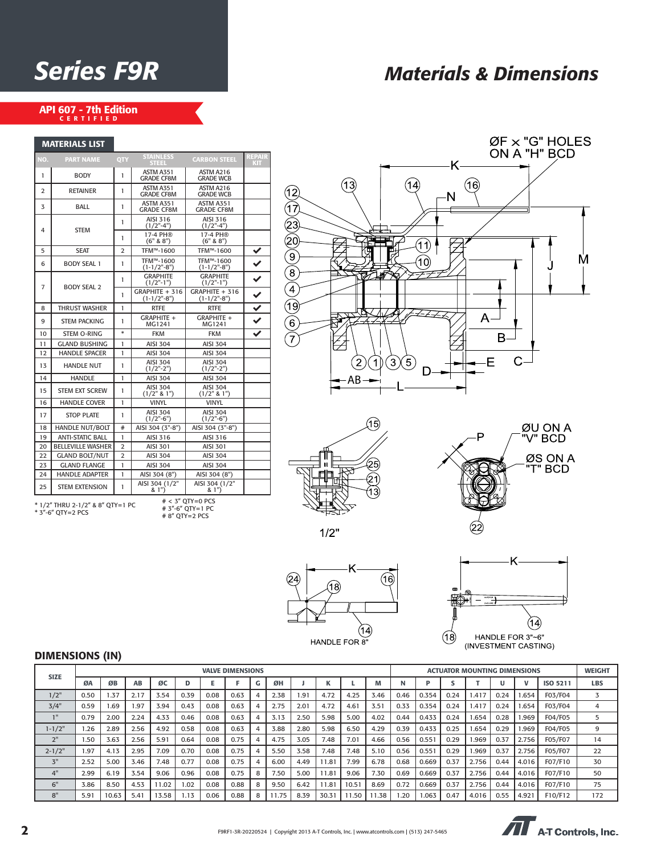### *Series F9R Materials & Dimensions*

### API 607 - 7th Edition<br>CERTIFIED

MATERIALS LIST

| MAI EKIALS LIST |                                                       |                |                                       |                                        |                             |
|-----------------|-------------------------------------------------------|----------------|---------------------------------------|----------------------------------------|-----------------------------|
| NO.             | <b>PART NAME</b>                                      | QTY            | <b>STAINLESS</b><br><b>STEEL</b>      | <b>CARBON STEEL</b>                    | <b>REPAIR</b><br><b>KIT</b> |
| 1               | <b>BODY</b>                                           | 1              | ASTM A351<br><b>GRADE CF8M</b>        | ASTM A216<br><b>GRADE WCB</b>          |                             |
| $\overline{2}$  | <b>RETAINER</b>                                       | 1              | ASTM A351<br><b>GRADE CF8M</b>        | ASTM A216<br><b>GRADE WCB</b>          |                             |
| 3               | BALL                                                  | 1              | <b>ASTM A351</b><br><b>GRADE CF8M</b> | <b>ASTM A351</b><br><b>GRADE CF8M</b>  |                             |
| 4               | <b>STEM</b>                                           | 1              | AISI 316<br>$(1/2" - 4")$             | AISI 316<br>$(1/2" - 4")$              |                             |
|                 |                                                       | 1              | 17-4 PH®<br>(6" 8 8")                 | 17-4 PH®<br>(6" 8 8")                  |                             |
| 5               | <b>SEAT</b>                                           | $\overline{2}$ | TFM™-1600                             | TFM™-1600                              | ✔                           |
| 6               | <b>BODY SEAL 1</b>                                    | 1              | TFM™-1600<br>$(1-1/2" - 8")$          | TFM™-1600<br>$(1-1/2" - 8")$           | $\overline{\checkmark}$     |
| 7               | <b>BODY SEAL 2</b>                                    | 1              | <b>GRAPHITE</b><br>$(1/2"$ -1")       | <b>GRAPHITE</b><br>$(1/2"$ -1")        | $\overline{\checkmark}$     |
|                 |                                                       | 1              | GRAPHITE + 316<br>$(1-1/2" - 8")$     | GRAPHITE + 316<br>$(1-1/2" - 8")$      | $\checkmark$                |
| 8               | <b>THRUST WASHER</b>                                  | 1              | <b>RTFE</b>                           | <b>RTFE</b>                            | $\overline{\checkmark}$     |
| 9               | <b>STEM PACKING</b>                                   | 1              | GRAPHITE +<br>MG1241                  | GRAPHITE +<br>MG1241                   | $\checkmark$                |
| 10              | <b>STEM O-RING</b>                                    | $\ast$         | <b>FKM</b>                            | <b>FKM</b>                             | ✓                           |
| 11              | <b>GLAND BUSHING</b>                                  | 1              | <b>AISI 304</b>                       | <b>AISI 304</b>                        |                             |
| 12              | <b>HANDLE SPACER</b>                                  | 1              | <b>AISI 304</b>                       | <b>AISI 304</b>                        |                             |
| 13              | <b>HANDLE NUT</b>                                     | 1              | <b>AISI 304</b><br>$(1/2"$ -2")       | <b>AISI 304</b><br>$(1/2" - 2")$       |                             |
| 14              | <b>HANDLE</b>                                         | 1              | <b>AISI 304</b>                       | <b>AISI 304</b>                        |                             |
| 15              | <b>STEM EXT SCREW</b>                                 | 1              | <b>AISI 304</b><br>(1/2" 8 1")        | <b>AISI 304</b><br>$(1/2"$ & 1")       |                             |
| 16              | <b>HANDLE COVER</b>                                   | 1              | <b>VINYL</b>                          | <b>VINYL</b>                           |                             |
| 17              | <b>STOP PLATE</b>                                     | 1              | <b>AISI 304</b><br>$(1/2" - 6")$      | <b>AISI 304</b><br>$(1/2" - 6")$       |                             |
| 18              | <b>HANDLE NUT/BOLT</b>                                | #              | AISI 304 (3"-8")                      | AISI 304 (3"-8")                       |                             |
| 19              | <b>ANTI-STATIC BALL</b>                               | 1              | AISI 316                              | AISI 316                               |                             |
| 20              | <b>BELLEVILLE WASHER</b>                              | $\overline{2}$ | <b>AISI 301</b>                       | AISI 301                               |                             |
| 22              | <b>GLAND BOLT/NUT</b>                                 | $\overline{2}$ | AISI 304                              | AISI 304                               |                             |
| 23              | <b>GLAND FLANGE</b>                                   | 1              | <b>AISI 304</b>                       | <b>AISI 304</b>                        |                             |
| 24              | <b>HANDLE ADAPTER</b>                                 | 1              | AISI 304 (8")                         | AISI 304 (8")                          |                             |
| 25              | <b>STEM EXTENSION</b>                                 | 1              | AISI 304 (1/2"<br>& 1")               | AISI 304 (1/2"<br>& 1")                |                             |
|                 | * 1/2" THRU 2-1/2" & 8" OTY=1 PC<br>* 3"-6" OTY=2 PCS |                | # 8" QTY=2 PCS                        | $# < 3"$ OTY=0 PCS<br># 3"-6" QTY=1 PC |                             |







 $1/2"$ 





### DIMENSIONS (IN)

|             | <b>VALVE DIMENSIONS</b> |       |      |       |      |      | <b>ACTUATOR MOUNTING DIMENSIONS</b> |                |      |               |       |       | <b>WEIGHT</b> |      |       |      |       |      |       |          |            |
|-------------|-------------------------|-------|------|-------|------|------|-------------------------------------|----------------|------|---------------|-------|-------|---------------|------|-------|------|-------|------|-------|----------|------------|
| <b>SIZE</b> | ØA                      | ØB    | AB   | ØC    | D    |      |                                     | G              | ØH   |               |       |       | M             |      |       |      |       |      |       | ISO 5211 | <b>LBS</b> |
| 1/2"        | 0.50                    | .37   | 2.17 | 3.54  | 0.39 | 0.08 | 0.63                                | 4              | 2.38 | $1.9^{\circ}$ | 4.72  | 4.25  | 3.46          | 0.46 | 0.354 | 0.24 | 1.417 | 0.24 | .654  | F03/F04  |            |
| 3/4"        | 0.59                    | .69   | 1.97 | 3.94  | 0.43 | 0.08 | 0.63                                |                | 2.75 | 2.01          | 4.72  | 4.61  | 3.51          | 0.33 | 0.354 | 0.24 | 1.417 | 0.24 | .654  | F03/F04  |            |
|             | 0.79                    | 2.00  | 2.24 | 4.33  | 0.46 | 0.08 | 0.63                                |                | 3.13 | 2.50          | 5.98  | 5.00  | 4.02          | 0.44 | 0.433 | 0.24 | 1.654 | 0.28 | 1.969 | F04/F05  |            |
| $1 - 1/2"$  | .26                     | 2.89  | 2.56 | 4.92  | 0.58 | 0.08 | 0.63                                |                | 3.88 | 2.80          | 5.98  | 6.50  | 4.29          | 0.39 | 0.433 | 0.25 | 1.654 | 0.29 | 969.  | F04/F05  | 9          |
| 2"          | .50                     | 3.63  | 2.56 | 5.91  | 0.64 | 0.08 | 0.75                                | 4              | 4.75 | 3.05          | 7.48  | 7.01  | 4.66          | 0.56 | 0.551 | 0.29 | 1.969 | 0.37 | 2.756 | F05/F07  | 14         |
| $2 - 1/2"$  | .97                     | 4.13  | 2.95 | 7.09  | 0.70 | 0.08 | 0.75                                | $\overline{4}$ | 5.50 | 3.58          | 7.48  | 7.48  | 5.10          | 0.56 | 0.551 | 0.29 | 1.969 | 0.37 | 2.756 | F05/F07  | 22         |
| 3"          | 2.52                    | 5.00  | 3.46 | 7.48  | 0.77 | 0.08 | 0.75                                | 4              | 6.00 | 4.49          | 11.81 | 7.99  | 6.78          | 0.68 | 0.669 | 0.37 | 2.756 | 0.44 | 4.016 | F07/F10  | 30         |
| 4"          | 2.99                    | 6.19  | 3.54 | 9.06  | 0.96 | 0.08 | 0.75                                | 8              | 7.50 | 5.00          | 11.81 | 9.06  | 7.30          | 0.69 | 0.669 | 0.37 | 2.756 | 0.44 | 4.016 | F07/F10  | 50         |
| 6"          | 3.86                    | 8.50  | 4.53 | 11.02 | 1.02 | 0.08 | 0.88                                | 8              | 9.50 | 6.42          | 11.81 | 10.51 | 8.69          | 0.72 | 0.669 | 0.37 | 2.756 | 0.44 | 4.016 | F07/F10  | 75         |
| 8"          | 5.91                    | 10.63 | 5.41 | 13.58 | 1.13 | 0.06 | 0.88                                | 8              | 1.75 | 8.39          | 30.31 | 11.50 | 1.38          | .20  | 1.063 | 0.47 | 4.016 | 0.55 | 4.921 | F10/F12  | 172        |

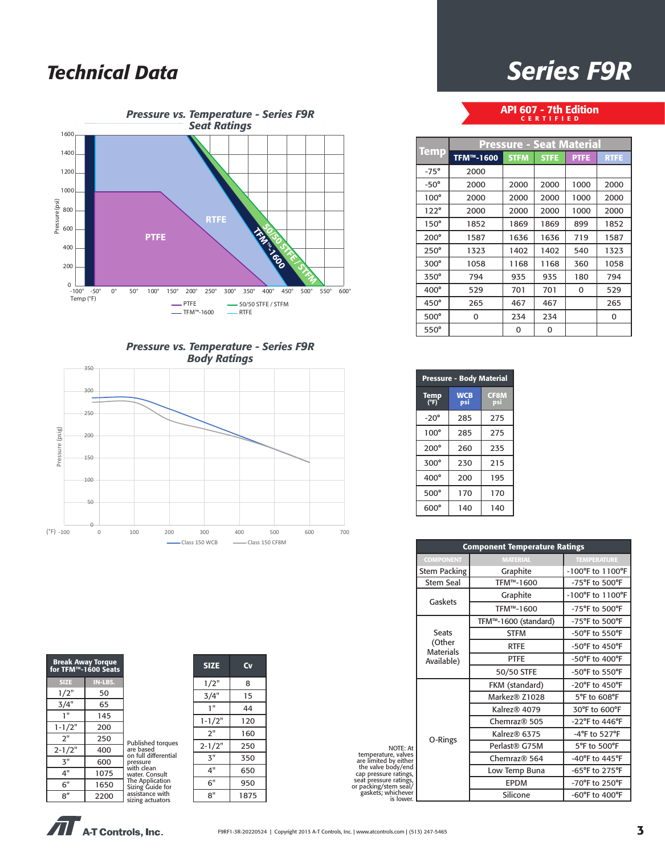### *Technical Data*







| for TFM™-1600 Seats | <b>Break Away Torque</b> |                                     |
|---------------------|--------------------------|-------------------------------------|
| <b>SIZE</b>         | IN-LBS.                  |                                     |
| 1/2"                | 50                       |                                     |
| 3/4"                | 65                       |                                     |
| 1"                  | 145                      |                                     |
| $1 - 1/2"$          | 200                      |                                     |
| 2"                  | 250                      | <b>Published torques</b>            |
| $2 - 1/2"$          | 400                      | are based<br>on full differential   |
| 3"                  | 600                      | pressure                            |
| 4"                  | 1075                     | with clean<br>water. Consult        |
| 6"                  | 1650                     | The Application<br>Sizing Guide for |
| 8''                 | 2200                     | assistance with<br>sizing actuators |

| <b>SIZE</b> | Cv   |
|-------------|------|
| 1/2"        | 8    |
| 3/4"        | 15   |
| 1"          | 44   |
| $1 - 1/2"$  | 120  |
| 2"          | 160  |
| $2 - 1/2"$  | 250  |
| א"          | 350  |
| 4"          | 650  |
| 6"          | 950  |
| 8"          | 1875 |

### *Series F9R*

### API 607 - 7th Edition CERTIFIED

|             | <b>Pressure - Seat Material</b> |             |             |             |             |  |  |  |  |
|-------------|---------------------------------|-------------|-------------|-------------|-------------|--|--|--|--|
| <b>Temp</b> | TFM™-1600                       | <b>STFM</b> | <b>STFE</b> | <b>PTFE</b> | <b>RTFE</b> |  |  |  |  |
| $-75^\circ$ | 2000                            |             |             |             |             |  |  |  |  |
| $-50^\circ$ | 2000                            | 2000        | 2000        | 1000        | 2000        |  |  |  |  |
| $100^\circ$ | 2000                            | 2000        | 2000        | 1000        | 2000        |  |  |  |  |
| $122^\circ$ | 2000                            | 2000        | 2000        | 1000        | 2000        |  |  |  |  |
| $150^\circ$ | 1852                            | 1869        | 1869        | 899         | 1852        |  |  |  |  |
| $200^\circ$ | 1587                            | 1636        | 1636        | 719         | 1587        |  |  |  |  |
| $250^\circ$ | 1323                            | 1402        | 1402        | 540         | 1323        |  |  |  |  |
| $300^\circ$ | 1058                            | 1168        | 1168        | 360         | 1058        |  |  |  |  |
| 350°        | 794                             | 935         | 935         | 180         | 794         |  |  |  |  |
| 400°        | 529                             | 701         | 701         | 0           | 529         |  |  |  |  |
| $450^\circ$ | 265                             | 467         | 467         |             | 265         |  |  |  |  |
| 500°        | 0                               | 234         | 234         |             | 0           |  |  |  |  |
| $550^\circ$ |                                 | 0           | 0           |             |             |  |  |  |  |

| <b>Pressure - Body Material</b> |                   |                    |  |  |  |  |
|---------------------------------|-------------------|--------------------|--|--|--|--|
| Temp<br>(°F)                    | <b>WCB</b><br>psi | <b>CF8M</b><br>psi |  |  |  |  |
| $-20^\circ$                     | 285               | 275                |  |  |  |  |
| $100^\circ$                     | 285               | 275                |  |  |  |  |
| $200^\circ$                     | 260               | 235                |  |  |  |  |
| $300^\circ$                     | 230               | 215                |  |  |  |  |
| $400^\circ$                     | 200               | 195                |  |  |  |  |
| $500^\circ$                     | 170               | 170                |  |  |  |  |
| $600^\circ$                     | 140               | 140                |  |  |  |  |

|                                                                                             | <b>Component Temperature Ratings</b> |                      |                                      |  |  |  |  |
|---------------------------------------------------------------------------------------------|--------------------------------------|----------------------|--------------------------------------|--|--|--|--|
|                                                                                             | <b>COMPONENT</b>                     | <b>MATERIAL</b>      | <b>TEMPERATURE</b>                   |  |  |  |  |
|                                                                                             | <b>Stem Packing</b>                  | Graphite             | $-100^{\circ}$ F to $1100^{\circ}$ F |  |  |  |  |
|                                                                                             | <b>Stem Seal</b>                     | TFM™-1600            | -75°F to 500°F                       |  |  |  |  |
|                                                                                             | Gaskets                              | Graphite             | $-100^{\circ}$ F to $1100^{\circ}$ F |  |  |  |  |
|                                                                                             |                                      | TFM™-1600            | -75°F to 500°F                       |  |  |  |  |
|                                                                                             |                                      | TFM™-1600 (standard) | -75°F to 500°F                       |  |  |  |  |
|                                                                                             | <b>Seats</b>                         | <b>STFM</b>          | -50°F to 550°F                       |  |  |  |  |
|                                                                                             | (Other<br><b>Materials</b>           | <b>RTFE</b>          | $-50^{\circ}$ F to $450^{\circ}$ F   |  |  |  |  |
|                                                                                             | Available)                           | <b>PTFE</b>          | $-50^{\circ}$ F to $400^{\circ}$ F   |  |  |  |  |
|                                                                                             |                                      | 50/50 STFE           | -50°F to 550°F                       |  |  |  |  |
|                                                                                             |                                      | FKM (standard)       | -20°F to 450°F                       |  |  |  |  |
|                                                                                             |                                      | Markez® Z1028        | 5°F to 608°F                         |  |  |  |  |
|                                                                                             |                                      | Kalrez® 4079         | 30°F to 600°F                        |  |  |  |  |
|                                                                                             |                                      | Chemraz® 505         | $-22$ °F to 446°F                    |  |  |  |  |
|                                                                                             |                                      | Kalrez® 6375         | $-4$ °F to 527°F                     |  |  |  |  |
| NOTE: At                                                                                    | O-Rings                              | Perlast® G75M        | 5°F to 500°F                         |  |  |  |  |
| temperature, valves<br>are limited by either<br>the valve body/end<br>cap pressure ratings, |                                      | Chemraz® 564         | -40°F to 445°F                       |  |  |  |  |
|                                                                                             |                                      | Low Temp Buna        | -65°F to 275°F                       |  |  |  |  |
| seat pressure ratings,<br>or packing/stem seal/                                             |                                      | <b>EPDM</b>          | -70°F to 250°F                       |  |  |  |  |
| gaskets; whichever<br>is lower.                                                             |                                      | Silicone             | $-60^{\circ}$ F to $400^{\circ}$ F   |  |  |  |  |

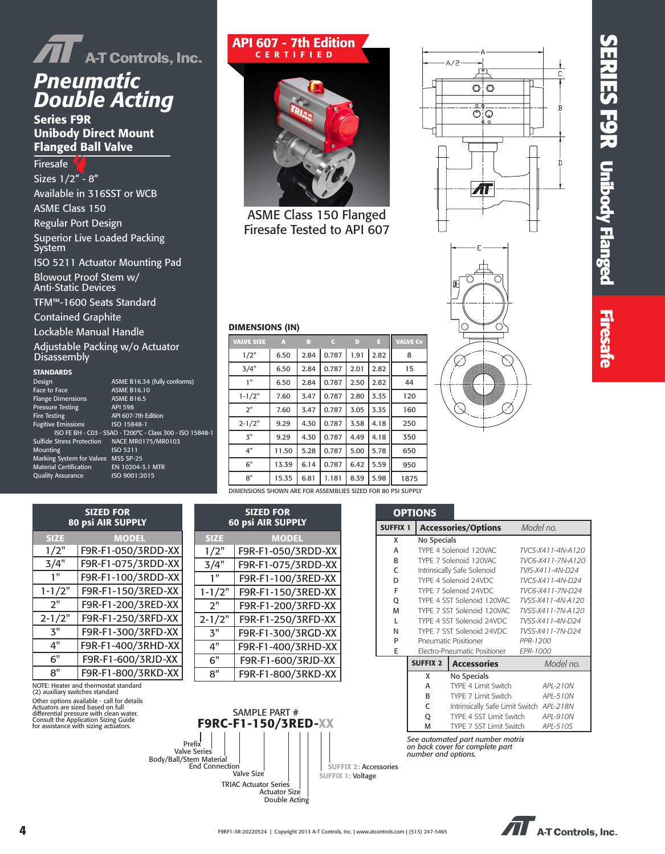

### *Pneumatic Double Acting*

Series F9R Unibody Direct Mount Flanged Ball Valve

Firesafe Sizes 1/2" - 8" Available in 316SST or WCB ASME Class 150 Regular Port Design Superior Live Loaded Packing System ISO 5211 Actuator Mounting Pad Blowout Proof Stem w/ Anti-Static Devices

TFM™-1600 Seats Standard

Contained Graphite

Lockable Manual Handle

Adjustable Packing w/o Actuator Disassembly

#### **STANDARDS**

| Design                              | ASME B16.34 (fully conforms)                        |
|-------------------------------------|-----------------------------------------------------|
| <b>Face to Face</b>                 | <b>ASME B16.10</b>                                  |
| <b>Flange Dimensions</b>            | <b>ASME B16.5</b>                                   |
| <b>Pressure Testing</b>             | <b>API 598</b>                                      |
| <b>Fire Testing</b>                 | API 607-7th Edition                                 |
| <b>Fugitive Emissions</b>           | ISO 15848-1                                         |
|                                     | ISO FE BH - C03 - SSAO - T200°C - Class 300 - ISO 1 |
| <b>Sulfide Stress Protection</b>    | NACE MR0175/MR0103                                  |
| Mounting                            | ISO 5211                                            |
| Marking System for Valves MSS SP-25 |                                                     |
| <b>Material Certification</b>       | EN 10204-3.1 MTR                                    |
| <b>Quality Assurance</b>            | ISO 9001:2015                                       |
|                                     |                                                     |

### API 607 - 7th Edition CERTIFIED



ASME Class 150 Flanged Firesafe Tested to API 607





# **SERIES F9R Unibody Flanged SERIES F 9R Unibody Flanged Firesafe Firesafe**

#### DIMENSIONS (IN)

15848-1

| <b>VALVE SIZE</b>                                           | A     | в    | c     | D    | E    | <b>VALVE Cv</b> |
|-------------------------------------------------------------|-------|------|-------|------|------|-----------------|
| 1/2"                                                        | 6.50  | 2.84 | 0.787 | 1.91 | 2.82 | 8               |
| 3/4"                                                        | 6.50  | 2.84 | 0.787 | 2.01 | 2.82 | 15              |
| 1"                                                          | 6.50  | 2.84 | 0.787 | 2.50 | 2.82 | 44              |
| $1 - 1/2"$                                                  | 7.60  | 3.47 | 0.787 | 2.80 | 3.35 | 120             |
| 2"                                                          | 7.60  | 3.47 | 0.787 | 3.05 | 3.35 | 160             |
| $2 - 1/2"$                                                  | 9.29  | 4.30 | 0.787 | 3.58 | 4.18 | 250             |
| 3"                                                          | 9.29  | 4.30 | 0.787 | 4.49 | 4.18 | 350             |
| 4"                                                          | 11.50 | 5.28 | 0.787 | 5.00 | 5.78 | 650             |
| 6"                                                          | 13.39 | 6.14 | 0.787 | 6.42 | 5.59 | 950             |
| 8"                                                          | 15.35 | 6.81 | 1.181 | 8.39 | 5.98 | 1875            |
| DIMENSIONS SHOWN ARE FOR ASSEMBLIES SIZED FOR 80 PSI SUPPLY |       |      |       |      |      |                 |

| <b>SIZED FOR</b><br><b>80 psi AIR SUPPLY</b> |                    |  |  |  |  |
|----------------------------------------------|--------------------|--|--|--|--|
| <b>SIZE</b>                                  | <b>MODEL</b>       |  |  |  |  |
| 1/2"                                         | F9R-F1-050/3RDD-XX |  |  |  |  |
| 3/4"                                         | F9R-F1-075/3RDD-XX |  |  |  |  |
| 1"                                           | F9R-F1-100/3RDD-XX |  |  |  |  |
| $1 - 1/2"$                                   | F9R-F1-150/3RED-XX |  |  |  |  |
| 2"                                           | F9R-F1-200/3RED-XX |  |  |  |  |
| $2 - 1/2"$                                   | F9R-F1-250/3RFD-XX |  |  |  |  |
| <b>3"</b>                                    | F9R-F1-300/3RFD-XX |  |  |  |  |
| 4"                                           | F9R-F1-400/3RHD-XX |  |  |  |  |
| 6"                                           | F9R-F1-600/3RJD-XX |  |  |  |  |
| 8"                                           | F9R-F1-800/3RKD-XX |  |  |  |  |

NOTE: Heater and thermostat standard (2) auxiliary switches standard Other options available - call for details Actuators are sized based on full differential pressure with clean water. Consult the Application Sizing Guide for assistance with sizing actuators.





|                 | <b>OPTIONS</b>      |                                                                     |                   |  |  |
|-----------------|---------------------|---------------------------------------------------------------------|-------------------|--|--|
| <b>SUFFIX 1</b> |                     | <b>Accessories/Options</b>                                          | Model no.         |  |  |
| x               | No Specials         |                                                                     |                   |  |  |
| A               |                     | TYPE 4 Solenoid 120VAC                                              | TVCS-X411-4N-A120 |  |  |
| B               |                     | TYPE 7 Solenoid 120VAC                                              | TVC6-X411-7N-A120 |  |  |
| C               |                     | Intrinsically Safe Solenoid                                         | TVIS-X411-4N-D24  |  |  |
| D               |                     | TYPE 4 Solenoid 24VDC                                               | TVCS-X411-4N-D24  |  |  |
| F               |                     | TYPE 7 Solenoid 24VDC                                               | TVC6-X411-7N-D24  |  |  |
| Q               |                     | TYPE 4 SST Solenoid 120VAC                                          | TVSS-X411-4N-A120 |  |  |
| M               |                     | TYPE 7 SST Solenoid 120VAC                                          | TVSS-X411-7N-A120 |  |  |
| L               |                     | TYPE 4 SST Solenoid 24VDC                                           | TVSS-X411-4N-D24  |  |  |
| N               |                     | TYPE 7 SST Solenoid 24VDC                                           | TVSS-X411-7N-D24  |  |  |
| P               |                     | Pneumatic Positioner                                                | PPR-1200          |  |  |
| E               |                     | Electro-Pneumatic Positioner                                        | <b>EPR-1000</b>   |  |  |
|                 | <b>SUFFIX 2</b>     | <b>Accessories</b>                                                  | Model no.         |  |  |
|                 | X                   | No Specials                                                         |                   |  |  |
|                 | A                   | TYPE 4 Limit Switch                                                 | APL-210N          |  |  |
|                 | R                   | TYPE 7 Limit Switch                                                 | API-510N          |  |  |
|                 | C                   | Intrinsically Safe Limit Switch APL-218N                            |                   |  |  |
|                 | O                   | TYPE 4 SST Limit Switch                                             | API-910N          |  |  |
|                 | M                   | TYPE 7 SST Limit Switch                                             | APL-510S          |  |  |
|                 | number and options. | See automated part number matrix<br>on back cover for complete part |                   |  |  |

 $\widehat{\mathbf{H}}$  A-T Controls, Inc.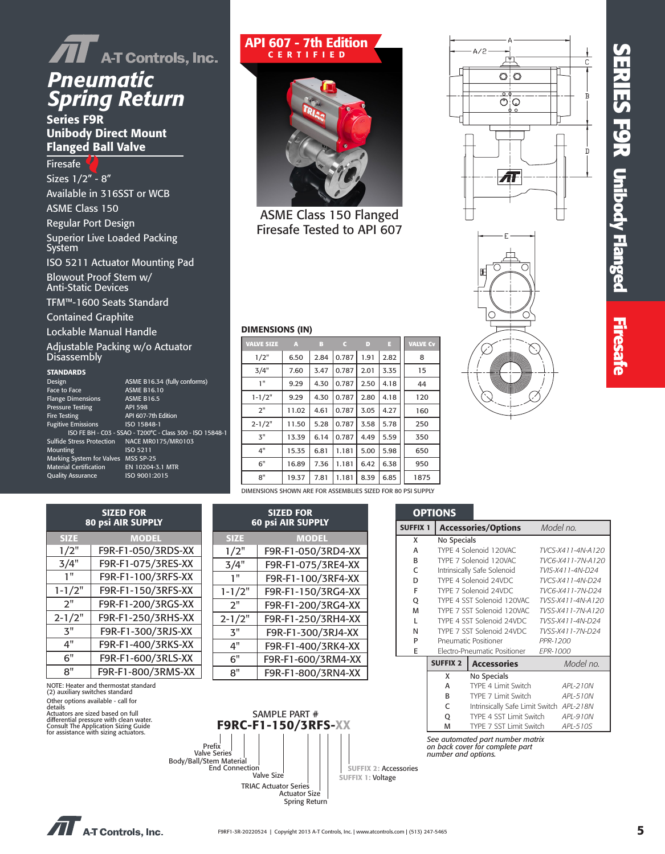# **SERIES F 9 R Unibody Flanged Firesafe**

# *AT* A-T Controls, Inc.<br>**Pneumatic** *Spring Return*

Series F9R Unibody Direct Mount Flanged Ball Valve

Firesafe Sizes 1/2" - 8" Available in 316SST or WCB ASME Class 150 Regular Port Design Superior Live Loaded Packing System ISO 5211 Actuator Mounting Pad Blowout Proof Stem w/ Anti-Static Devices

TFM™-1600 Seats Standard

Contained Graphite

Lockable Manual Handle

Adjustable Packing w/o Actuator Disassembly

#### **STANDARDS**

| Design                              | ASME B16.34 (fully conforms)                              |
|-------------------------------------|-----------------------------------------------------------|
| Face to Face                        | <b>ASME B16.10</b>                                        |
| <b>Flange Dimensions</b>            | <b>ASME B16.5</b>                                         |
| <b>Pressure Testing</b>             | <b>API 598</b>                                            |
| <b>Fire Testing</b>                 | API 607-7th Edition                                       |
| <b>Fugitive Emissions</b>           | ISO 15848-1                                               |
|                                     | ISO FE BH - C03 - SSAO - T200°C - Class 300 - ISO 15848-1 |
| <b>Sulfide Stress Protection</b>    | NACE MR0175/MR0103                                        |
| Mounting                            | ISO 5211                                                  |
| Marking System for Valves MSS SP-25 |                                                           |
| <b>Material Certification</b>       | EN 10204-3.1 MTR                                          |
| <b>Quality Assurance</b>            | ISO 9001:2015                                             |
|                                     |                                                           |

### API 607 - 7th Edition CERTIFIED



ASME Class 150 Flanged Firesafe Tested to API 607

| <b>VALVE SIZE</b> | A     | в    | C     | D    | E    | <b>VALVE C</b> |
|-------------------|-------|------|-------|------|------|----------------|
| 1/2"              | 6.50  | 2.84 | 0.787 | 1.91 | 2.82 | 8              |
| 3/4"              | 7.60  | 3.47 | 0.787 | 2.01 | 3.35 | 15             |
| 1"                | 9.29  | 4.30 | 0.787 | 2.50 | 4.18 | 44             |
| $1 - 1/2"$        | 9.29  | 4.30 | 0.787 | 2.80 | 4.18 | 120            |
| 2"                | 11.02 | 4.61 | 0.787 | 3.05 | 4.27 | 160            |
| $2 - 1/2"$        | 11.50 | 5.28 | 0.787 | 3.58 | 5.78 | 250            |
| 3"                | 13.39 | 6.14 | 0.787 | 4.49 | 5.59 | 350            |
| 4"                | 15.35 | 6.81 | 1.181 | 5.00 | 5.98 | 650            |
| 6"                | 16.89 | 7.36 | 1.181 | 6.42 | 6.38 | 950            |
| 8"                | 19.37 | 7.81 | 1.181 | 8.39 | 6.85 | 1875           |
|                   |       |      |       |      |      |                |





#### DIMENSIONS (IN)

| A     | B    | Γò    | D    | E    | <b>VALVE CV</b> |  |
|-------|------|-------|------|------|-----------------|--|
| 6.50  | 2.84 | 0.787 | 1.91 | 2.82 | 8               |  |
| 7.60  | 3.47 | 0.787 | 2.01 | 3.35 | 15              |  |
| 9.29  | 4.30 | 0.787 | 2.50 | 4.18 | 44              |  |
| 9.29  | 4.30 | 0.787 | 2.80 | 4.18 | 120             |  |
| 11.02 | 4.61 | 0.787 | 3.05 | 4.27 | 160             |  |
| 11.50 | 5.28 | 0.787 | 3.58 | 5.78 | 250             |  |
| 13.39 | 6.14 | 0.787 | 4.49 | 5.59 | 350             |  |
| 15.35 | 6.81 | 1.181 | 5.00 | 5.98 | 650             |  |
| 16.89 | 7.36 | 1.181 | 6.42 | 6.38 | 950             |  |
| 19.37 | 7.81 | 1.181 | 8.39 | 6.85 | 1875            |  |

**OPTIONS** 

DIMENSIONS SHOWN ARE FOR ASSEMBLIES SIZED FOR 80 PSI SUPPLY

| <b>SIZED FOR</b><br>80 psi AIR SUPPLY |                    |  |
|---------------------------------------|--------------------|--|
| <b>SIZE</b>                           | <b>MODEL</b>       |  |
| 1/2"                                  | F9R-F1-050/3RDS-XX |  |
| 3/4"                                  | F9R-F1-075/3RES-XX |  |
| 1"                                    | F9R-F1-100/3RFS-XX |  |
| $1 - 1/2"$                            | F9R-F1-150/3RFS-XX |  |
| 2"                                    | F9R-F1-200/3RGS-XX |  |
| $2 - 1/2"$                            | F9R-F1-250/3RHS-XX |  |
| 3"                                    | F9R-F1-300/3RJS-XX |  |
| 4"                                    | F9R-F1-400/3RKS-XX |  |
| 6"                                    | F9R-F1-600/3RLS-XX |  |
| ឧ"                                    | F9R-F1-800/3RMS-XX |  |

NOTE: Heater and thermostat standard (2) auxiliary switches standard Other options available - call for details aetalls<br>Actuators are sized based on full differential pressure with clean water. Consult The Application Sizing Guide for assistance with sizing actuators.

| DILEP FUN<br>60 psi AIR SUPPLY |                    |  |
|--------------------------------|--------------------|--|
| <b>SIZE</b>                    | <b>MODEL</b>       |  |
| 1/2"                           | F9R-F1-050/3RD4-XX |  |
| 3/4"                           | F9R-F1-075/3RE4-XX |  |
| 1"                             | F9R-F1-100/3RF4-XX |  |
| $1 - 1/2"$                     | F9R-F1-150/3RG4-XX |  |
| 2"                             | F9R-F1-200/3RG4-XX |  |
| $2 - 1/2"$                     | F9R-F1-250/3RH4-XX |  |
| ろ"                             | F9R-F1-300/3RJ4-XX |  |
| 4"                             | F9R-F1-400/3RK4-XX |  |
| 6"                             | F9R-F1-600/3RM4-XX |  |
| 8"                             | F9R-F1-800/3RN4-XX |  |

F9RC-F1-150/3RFS-XX SAMPLE PART #

> Actuator Size Spring Return

 Valve Size TRIAC Actuator Series

 Valve Series Prefix Body/Ball/Stem Material End Connection SIZED FOR



SUFFIX 1 Accessories/Options *Model no.*

SUFFIX 1: Voltage SUFFIX 2: Accessories

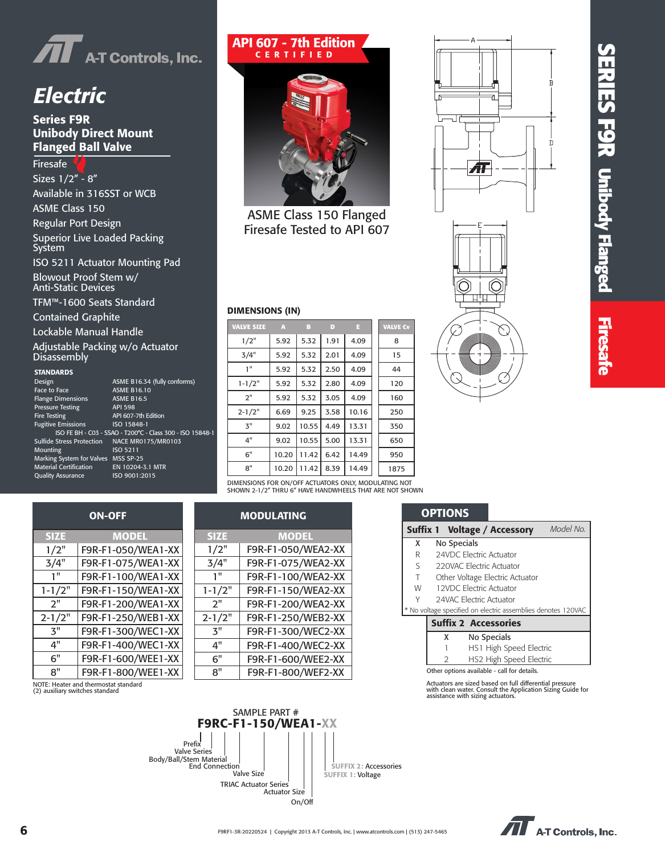

### *Electric*

### Series F9R Unibody Direct Mount Flanged Ball Valve

Firesafe Sizes 1/2" - 8" Available in 316SST or WCB ASME Class 150 Regular Port Design Superior Live Loaded Packing System ISO 5211 Actuator Mounting Pad Blowout Proof Stem w/ Anti-Static Devices

TFM™-1600 Seats Standard

Contained Graphite

Lockable Manual Handle

Adjustable Packing w/o Actuator **Disassembly** 

#### **STANDARDS**

| Design                              | ASME B16.34 (fully conforms)                              |
|-------------------------------------|-----------------------------------------------------------|
| Face to Face                        | <b>ASME B16.10</b>                                        |
| <b>Flange Dimensions</b>            | <b>ASME B16.5</b>                                         |
| <b>Pressure Testing</b>             | <b>API 598</b>                                            |
| <b>Fire Testing</b>                 | API 607-7th Edition                                       |
| <b>Fugitive Emissions</b>           | ISO 15848-1                                               |
|                                     | ISO FE BH - C03 - SSAO - T200°C - Class 300 - ISO 15848-1 |
| Sulfide Stress Protection           | NACE MR0175/MR0103                                        |
| Mounting                            | ISO 5211                                                  |
| Marking System for Valves MSS SP-25 |                                                           |
| Material Certification              | EN 10204-3.1 MTR                                          |
| <b>Quality Assurance</b>            | ISO 9001:2015                                             |
|                                     |                                                           |

ON-OFF

1-1/2" F9R-F1-150/WEA1-XX 2" F9R-F1-200/WEA1-XX 2-1/2" F9R-F1-250/WEB1-XX 3" F9R-F1-300/WEC1-XX 4" F9R-F1-400/WEC1-XX 6" F9R-F1-600/WEE1-XX 8" F9R-F1-800/WEE1-XX

SIZE MODEL 1/2" F9R-F1-050/WEA1-XX 3/4" | F9R-F1-075/WEA1-XX<br>|-<br>| F9R-F1-100/WFA1-YY F9R-F1-100/WEA1-XX

| ASME B16.34 (fully conforms)                           |
|--------------------------------------------------------|
| <b>ASME B16.10</b>                                     |
| <b>ASME B16.5</b>                                      |
| <b>API 598</b>                                         |
| API 607-7th Edition                                    |
| ISO 15848-1<br>SSAO - T200°C - Class 300 - ISO 15848-1 |
| <b>NACE MR0175/MR0103</b>                              |
| ISO 5211                                               |
| $s$ MSS SP-25                                          |
| EN 10204-3.1 MTR                                       |
| ISO 9001:2015                                          |

### API 607 - 7th Edition CERTIFIED



ASME Class 150 Flanged Firesafe Tested to API 607

#### DIMENSIONS (IN)

| <b>VALVE SIZE</b> | A     | в     | D    | E     | <b>VALVE Cv</b> |
|-------------------|-------|-------|------|-------|-----------------|
| 1/2"              | 5.92  | 5.32  | 1.91 | 4.09  | 8               |
| 3/4"              | 5.92  | 5.32  | 2.01 | 4.09  | 15              |
| 1"                | 5.92  | 5.32  | 2.50 | 4.09  | 44              |
| $1 - 1/2"$        | 5.92  | 5.32  | 2.80 | 4.09  | 120             |
| 2"                | 5.92  | 5.32  | 3.05 | 4.09  | 160             |
| $2 - 1/2"$        | 6.69  | 9.25  | 3.58 | 10.16 | 250             |
| 3"                | 9.02  | 10.55 | 4.49 | 13.31 | 350             |
| 4"                | 9.02  | 10.55 | 5.00 | 13.31 | 650             |
| 6"                | 10.20 | 11.42 | 6.42 | 14.49 | 950             |
| 8"                | 10.20 | 11.42 | 8.39 | 14.49 | 1875            |
|                   |       |       |      |       |                 |

DIMENSIONS FOR ON/OFF ACTUATORS ONLY, MODULATING NOT SHOWN 2-1/2" THRU 6" HAVE HANDWHEELS THAT ARE NOT SHOWN

| <b>MODULATING</b> |                    |  |
|-------------------|--------------------|--|
| <b>SIZE</b>       | <b>MODEL</b>       |  |
| 1/2"              | F9R-F1-050/WEA2-XX |  |
| 3/4"              | F9R-F1-075/WEA2-XX |  |
| 1"                | F9R-F1-100/WEA2-XX |  |
| $1 - 1/2"$        | F9R-F1-150/WEA2-XX |  |
| 2"                | F9R-F1-200/WEA2-XX |  |
| $2 - 1/2"$        | F9R-F1-250/WEB2-XX |  |
| ろ"                | F9R-F1-300/WEC2-XX |  |
| 4"                | F9R-F1-400/WEC2-XX |  |
| 6"                | F9R-F1-600/WEE2-XX |  |
| 8"                | F9R-F1-800/WEF2-XX |  |



Т.



|   | UP IIUNS                                                     |           |
|---|--------------------------------------------------------------|-----------|
|   | <b>Suffix 1 Voltage / Accessory</b>                          | Model No. |
| x | No Specials                                                  |           |
| R | 24VDC Electric Actuator                                      |           |
| S | 220VAC Electric Actuator                                     |           |
| Τ | Other Voltage Electric Actuator                              |           |
| W | <b>12VDC Electric Actuator</b>                               |           |
| γ | 24VAC Electric Actuator                                      |           |
|   | * No voltage specified on electric assemblies denotes 120VAC |           |
|   |                                                              |           |

#### Suffix 2 Accessories

**OPTIONS** 

X No Specials

- 1 HS1 High Speed Electric
- 2 HS2 High Speed Electric
- Other options available call for details.

Actuators are sized based on full differential pressure with clean water. Consult the Application Sizing Guide for assistance with sizing actuators.

NOTE: Heater and thermostat standard (2) auxiliary switches standard



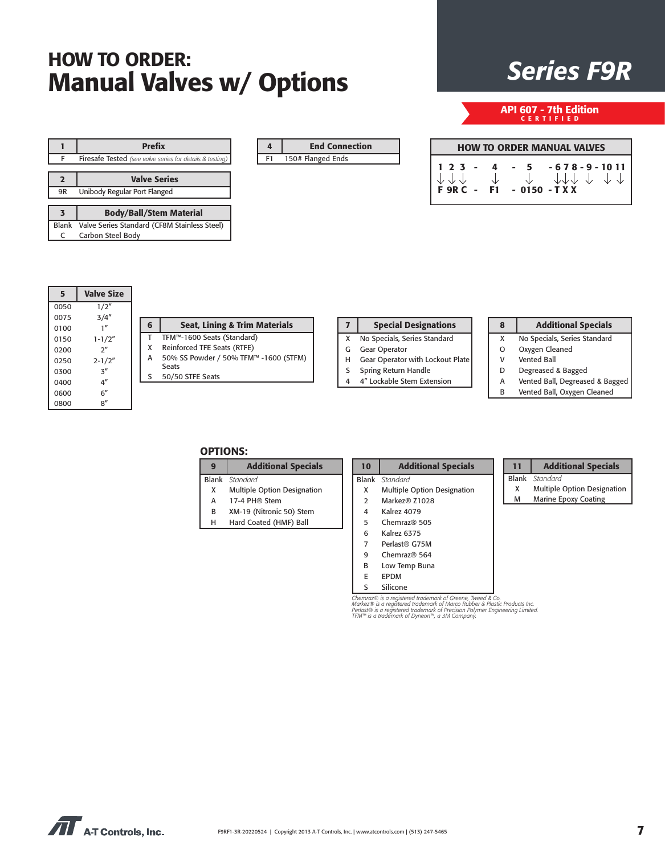### *Series F9R* HOW TO ORDER: Manual Valves w/ Options

|              | <b>Prefix</b>                                                   |
|--------------|-----------------------------------------------------------------|
| F            | <b>Firesafe Tested</b> (see valve series for details & testing) |
|              |                                                                 |
| 2            | <b>Valve Series</b>                                             |
| 9R           | Unibody Regular Port Flanged                                    |
|              |                                                                 |
| 3            | <b>Body/Ball/Stem Material</b>                                  |
| <b>Blank</b> | Valve Series Standard (CF8M Stainless Steel)                    |
|              | Carbon Steel Body                                               |

|    | <b>End Connection</b> |
|----|-----------------------|
| F1 | 150# Flanged Ends     |

API 607 - 7th Edition CERTIFIED

| <b>HOW TO ORDER MANUAL VALVES</b> |  |  |  |                                                                                                                   |
|-----------------------------------|--|--|--|-------------------------------------------------------------------------------------------------------------------|
|                                   |  |  |  | $1 2 3 - 4 - 5 - 678 - 9 - 1011$<br>$\downarrow$ $\downarrow$ $\downarrow$ $\downarrow$ $\downarrow$ $\downarrow$ |
|                                   |  |  |  |                                                                                                                   |

| 5    | <b>Valve Size</b> |
|------|-------------------|
| 0050 | 1/2"              |
| 0075 | 3/4''             |
| 0100 | 1 <sup>''</sup>   |
| 0150 | $1 - 1/2"$        |
| 0200 | 2 <sup>n</sup>    |
| 0250 | $2 - 1/2"$        |
| 0300 | $\mathbf{z}''$    |
| 0400 | 4″                |
| 0600 | 6″                |
| 0800 | 8″                |

| 6 | <b>Seat, Lining &amp; Trim Materials</b> |
|---|------------------------------------------|
| т | TFM™-1600 Seats (Standard)               |
| x | Reinforced TFE Seats (RTFE)              |
| А | 50% SS Powder / 50% TFM™ -1600 (STFM)    |
|   | <b>Seats</b>                             |

S 50/50 STFE Seats

|   | <b>Special Designations</b>      |  |
|---|----------------------------------|--|
| X | No Specials, Series Standard     |  |
|   | <b>Gear Operator</b>             |  |
| н | Gear Operator with Lockout Plate |  |
|   | Spring Return Handle             |  |
|   | 4" Lockable Stem Extension       |  |
|   |                                  |  |

### **Additional Specials**

- No Specials, Series Standard
- Oxygen Cleaned
- Vented Ball
- Degreased & Bagged
- Vented Ball, Degreased & Bagged

### Vented Ball, Oxygen Cleaned

### OPTIONS:

| <b>Additional Specials</b>  |  |  |
|-----------------------------|--|--|
| <b>Blank</b> Standard       |  |  |
| Multiple Option Designation |  |  |

- A 17-4 PH® Stem
- B XM-19 (Nitronic 50) Stem
- H Hard Coated (HMF) Ball

|                | <b>Blank</b> Standard       |
|----------------|-----------------------------|
| x              | Multiple Option Designation |
| $\overline{2}$ | Markez® 71028               |
| 4              | Kalrez 4079                 |
| 5              | Chemraz@505                 |
| 6              | Kalrez 6375                 |
| 7              | Perlast® G75M               |
| q              | Chemraz® 564                |
| R              | Low Temp Buna               |
|                |                             |

10 | Additional Specials

- 
- E EPDM S Silicone

Chemraz® is a registered trademark of Greene, Tweed & Co.<br>Markez® is a registered trademark of Marco Rubber & Plastic Products Inc.<br>Perlast® is a registered trademark of Precision Polymer Engineering Limited.<br>TFM™ is a tra

#### 11 | Additional Specials Blank *Standard*

X Multiple Option Designation M Marine Epoxy Coating